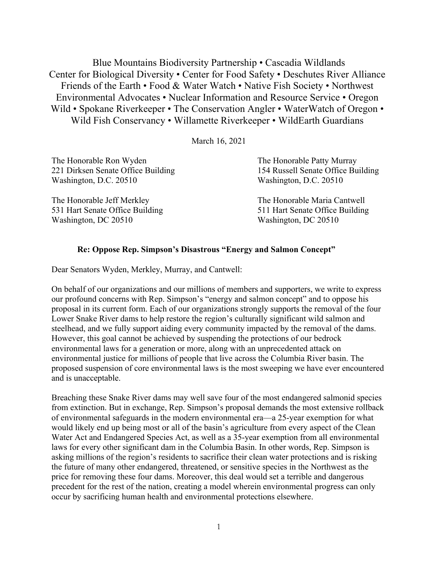Blue Mountains Biodiversity Partnership • Cascadia Wildlands Center for Biological Diversity • Center for Food Safety • Deschutes River Alliance Friends of the Earth • Food & Water Watch • Native Fish Society • Northwest Environmental Advocates • Nuclear Information and Resource Service • Oregon Wild • Spokane Riverkeeper • The Conservation Angler • WaterWatch of Oregon • Wild Fish Conservancy • Willamette Riverkeeper • WildEarth Guardians

March 16, 2021

| The Honorable Ron Wyden<br>221 Dirksen Senate Office Building<br>Washington, D.C. 20510 | The Honorable Patty Murray<br>154 Russell Senate Office Building<br>Washington, D.C. 20510 |                                 |                                 |
|-----------------------------------------------------------------------------------------|--------------------------------------------------------------------------------------------|---------------------------------|---------------------------------|
|                                                                                         |                                                                                            | The Honorable Jeff Merkley      | The Honorable Maria Cantwell    |
|                                                                                         |                                                                                            | 531 Hart Senate Office Building | 511 Hart Senate Office Building |

**Re: Oppose Rep. Simpson's Disastrous "Energy and Salmon Concept"** 

Washington, DC 20510 Washington, DC 20510

Dear Senators Wyden, Merkley, Murray, and Cantwell:

On behalf of our organizations and our millions of members and supporters, we write to express our profound concerns with Rep. Simpson's "energy and salmon concept" and to oppose his proposal in its current form. Each of our organizations strongly supports the removal of the four Lower Snake River dams to help restore the region's culturally significant wild salmon and steelhead, and we fully support aiding every community impacted by the removal of the dams. However, this goal cannot be achieved by suspending the protections of our bedrock environmental laws for a generation or more, along with an unprecedented attack on environmental justice for millions of people that live across the Columbia River basin. The proposed suspension of core environmental laws is the most sweeping we have ever encountered and is unacceptable.

Breaching these Snake River dams may well save four of the most endangered salmonid species from extinction. But in exchange, Rep. Simpson's proposal demands the most extensive rollback of environmental safeguards in the modern environmental era—a 25-year exemption for what would likely end up being most or all of the basin's agriculture from every aspect of the Clean Water Act and Endangered Species Act, as well as a 35-year exemption from all environmental laws for every other significant dam in the Columbia Basin. In other words, Rep. Simpson is asking millions of the region's residents to sacrifice their clean water protections and is risking the future of many other endangered, threatened, or sensitive species in the Northwest as the price for removing these four dams. Moreover, this deal would set a terrible and dangerous precedent for the rest of the nation, creating a model wherein environmental progress can only occur by sacrificing human health and environmental protections elsewhere.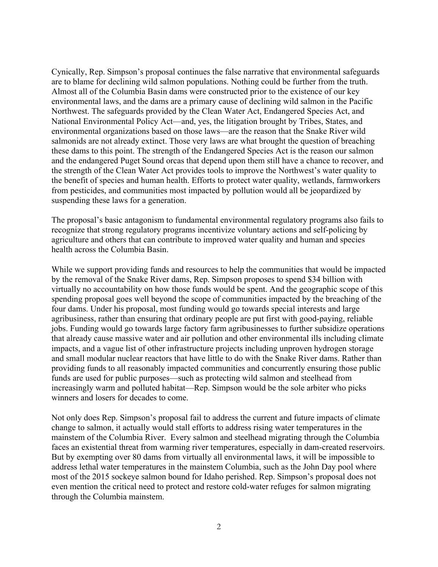Cynically, Rep. Simpson's proposal continues the false narrative that environmental safeguards are to blame for declining wild salmon populations. Nothing could be further from the truth. Almost all of the Columbia Basin dams were constructed prior to the existence of our key environmental laws, and the dams are a primary cause of declining wild salmon in the Pacific Northwest. The safeguards provided by the Clean Water Act, Endangered Species Act, and National Environmental Policy Act—and, yes, the litigation brought by Tribes, States, and environmental organizations based on those laws—are the reason that the Snake River wild salmonids are not already extinct. Those very laws are what brought the question of breaching these dams to this point. The strength of the Endangered Species Act is the reason our salmon and the endangered Puget Sound orcas that depend upon them still have a chance to recover, and the strength of the Clean Water Act provides tools to improve the Northwest's water quality to the benefit of species and human health. Efforts to protect water quality, wetlands, farmworkers from pesticides, and communities most impacted by pollution would all be jeopardized by suspending these laws for a generation.

The proposal's basic antagonism to fundamental environmental regulatory programs also fails to recognize that strong regulatory programs incentivize voluntary actions and self-policing by agriculture and others that can contribute to improved water quality and human and species health across the Columbia Basin.

While we support providing funds and resources to help the communities that would be impacted by the removal of the Snake River dams, Rep. Simpson proposes to spend \$34 billion with virtually no accountability on how those funds would be spent. And the geographic scope of this spending proposal goes well beyond the scope of communities impacted by the breaching of the four dams. Under his proposal, most funding would go towards special interests and large agribusiness, rather than ensuring that ordinary people are put first with good-paying, reliable jobs. Funding would go towards large factory farm agribusinesses to further subsidize operations that already cause massive water and air pollution and other environmental ills including climate impacts, and a vague list of other infrastructure projects including unproven hydrogen storage and small modular nuclear reactors that have little to do with the Snake River dams. Rather than providing funds to all reasonably impacted communities and concurrently ensuring those public funds are used for public purposes—such as protecting wild salmon and steelhead from increasingly warm and polluted habitat—Rep. Simpson would be the sole arbiter who picks winners and losers for decades to come.

Not only does Rep. Simpson's proposal fail to address the current and future impacts of climate change to salmon, it actually would stall efforts to address rising water temperatures in the mainstem of the Columbia River. Every salmon and steelhead migrating through the Columbia faces an existential threat from warming river temperatures, especially in dam-created reservoirs. But by exempting over 80 dams from virtually all environmental laws, it will be impossible to address lethal water temperatures in the mainstem Columbia, such as the John Day pool where most of the 2015 sockeye salmon bound for Idaho perished. Rep. Simpson's proposal does not even mention the critical need to protect and restore cold-water refuges for salmon migrating through the Columbia mainstem.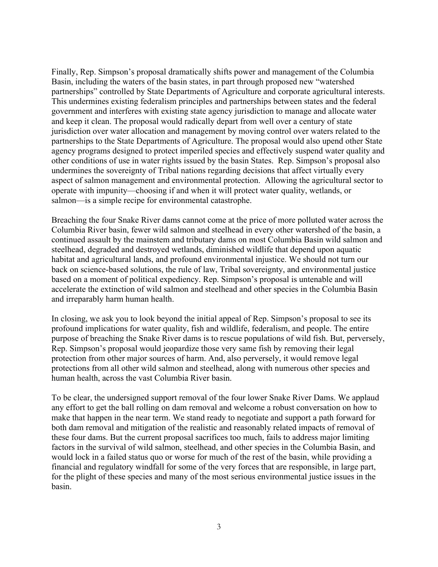Finally, Rep. Simpson's proposal dramatically shifts power and management of the Columbia Basin, including the waters of the basin states, in part through proposed new "watershed partnerships" controlled by State Departments of Agriculture and corporate agricultural interests. This undermines existing federalism principles and partnerships between states and the federal government and interferes with existing state agency jurisdiction to manage and allocate water and keep it clean. The proposal would radically depart from well over a century of state jurisdiction over water allocation and management by moving control over waters related to the partnerships to the State Departments of Agriculture. The proposal would also upend other State agency programs designed to protect imperiled species and effectively suspend water quality and other conditions of use in water rights issued by the basin States. Rep. Simpson's proposal also undermines the sovereignty of Tribal nations regarding decisions that affect virtually every aspect of salmon management and environmental protection. Allowing the agricultural sector to operate with impunity—choosing if and when it will protect water quality, wetlands, or salmon—is a simple recipe for environmental catastrophe.

Breaching the four Snake River dams cannot come at the price of more polluted water across the Columbia River basin, fewer wild salmon and steelhead in every other watershed of the basin, a continued assault by the mainstem and tributary dams on most Columbia Basin wild salmon and steelhead, degraded and destroyed wetlands, diminished wildlife that depend upon aquatic habitat and agricultural lands, and profound environmental injustice. We should not turn our back on science-based solutions, the rule of law, Tribal sovereignty, and environmental justice based on a moment of political expediency. Rep. Simpson's proposal is untenable and will accelerate the extinction of wild salmon and steelhead and other species in the Columbia Basin and irreparably harm human health.

In closing, we ask you to look beyond the initial appeal of Rep. Simpson's proposal to see its profound implications for water quality, fish and wildlife, federalism, and people. The entire purpose of breaching the Snake River dams is to rescue populations of wild fish. But, perversely, Rep. Simpson's proposal would jeopardize those very same fish by removing their legal protection from other major sources of harm. And, also perversely, it would remove legal protections from all other wild salmon and steelhead, along with numerous other species and human health, across the vast Columbia River basin.

To be clear, the undersigned support removal of the four lower Snake River Dams. We applaud any effort to get the ball rolling on dam removal and welcome a robust conversation on how to make that happen in the near term. We stand ready to negotiate and support a path forward for both dam removal and mitigation of the realistic and reasonably related impacts of removal of these four dams. But the current proposal sacrifices too much, fails to address major limiting factors in the survival of wild salmon, steelhead, and other species in the Columbia Basin, and would lock in a failed status quo or worse for much of the rest of the basin, while providing a financial and regulatory windfall for some of the very forces that are responsible, in large part, for the plight of these species and many of the most serious environmental justice issues in the basin.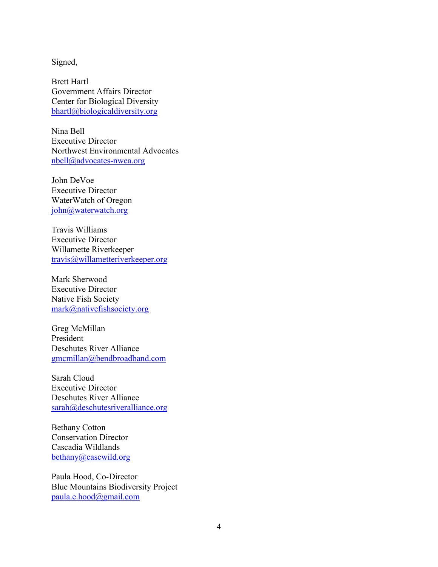Signed,

Brett Hartl Government Affairs Director Center for Biological Diversity bhartl@biologicaldiversity.org

Nina Bell Executive Director Northwest Environmental Advocates nbell@advocates-nwea.org

John DeVoe Executive Director WaterWatch of Oregon john@waterwatch.org

Travis Williams Executive Director Willamette Riverkeeper travis@willametteriverkeeper.org

Mark Sherwood Executive Director Native Fish Society mark@nativefishsociety.org

Greg McMillan President Deschutes River Alliance gmcmillan@bendbroadband.com

Sarah Cloud Executive Director Deschutes River Alliance sarah@deschutesriveralliance.org

Bethany Cotton Conservation Director Cascadia Wildlands bethany@cascwild.org

Paula Hood, Co-Director Blue Mountains Biodiversity Project paula.e.hood@gmail.com